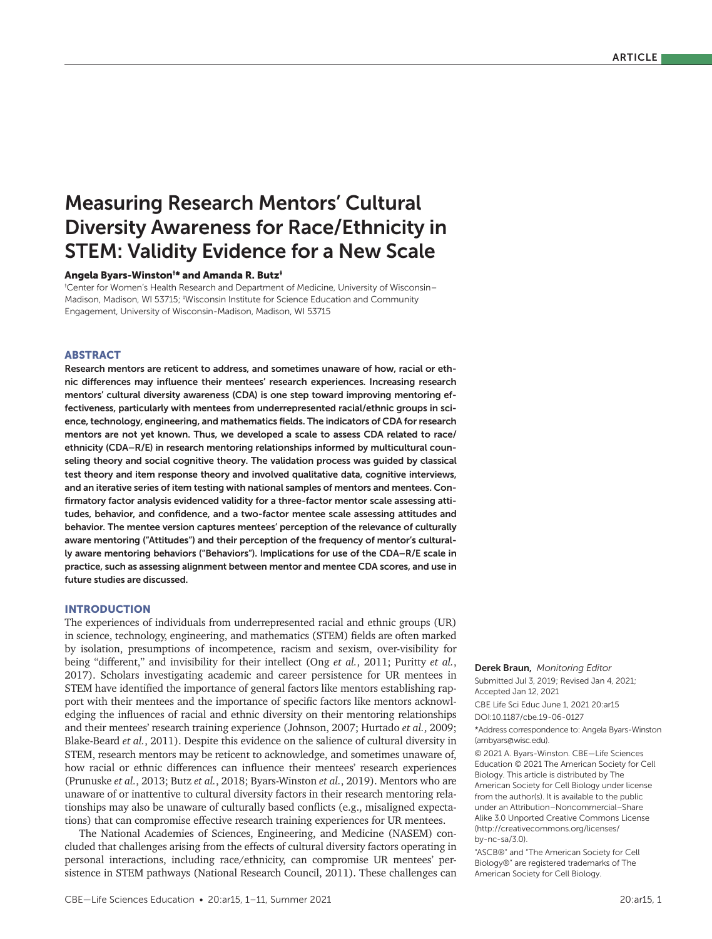# Measuring Research Mentors' Cultural Diversity Awareness for Race/Ethnicity in STEM: Validity Evidence for a New Scale

#### Angela Byars-Winston† \* and Amanda R. Butz‡

† Center for Women's Health Research and Department of Medicine, University of Wisconsin– Madison, Madison, WI 53715; <sup>‡</sup>Wisconsin Institute for Science Education and Community Engagement, University of Wisconsin-Madison, Madison, WI 53715

# ABSTRACT

Research mentors are reticent to address, and sometimes unaware of how, racial or ethnic differences may influence their mentees' research experiences. Increasing research mentors' cultural diversity awareness (CDA) is one step toward improving mentoring effectiveness, particularly with mentees from underrepresented racial/ethnic groups in science, technology, engineering, and mathematics fields. The indicators of CDA for research mentors are not yet known. Thus, we developed a scale to assess CDA related to race/ ethnicity (CDA–R/E) in research mentoring relationships informed by multicultural counseling theory and social cognitive theory. The validation process was guided by classical test theory and item response theory and involved qualitative data, cognitive interviews, and an iterative series of item testing with national samples of mentors and mentees. Confirmatory factor analysis evidenced validity for a three-factor mentor scale assessing attitudes, behavior, and confidence, and a two-factor mentee scale assessing attitudes and behavior. The mentee version captures mentees' perception of the relevance of culturally aware mentoring ("Attitudes") and their perception of the frequency of mentor's culturally aware mentoring behaviors ("Behaviors"). Implications for use of the CDA–R/E scale in practice, such as assessing alignment between mentor and mentee CDA scores, and use in future studies are discussed.

## INTRODUCTION

The experiences of individuals from underrepresented racial and ethnic groups (UR) in science, technology, engineering, and mathematics (STEM) fields are often marked by isolation, presumptions of incompetence, racism and sexism, over-visibility for being "different," and invisibility for their intellect (Ong *et al.*, 2011; Puritty *et al.*, 2017). Scholars investigating academic and career persistence for UR mentees in STEM have identified the importance of general factors like mentors establishing rapport with their mentees and the importance of specific factors like mentors acknowledging the influences of racial and ethnic diversity on their mentoring relationships and their mentees' research training experience (Johnson, 2007; Hurtado *et al.*, 2009; Blake-Beard *et al.*, 2011). Despite this evidence on the salience of cultural diversity in STEM, research mentors may be reticent to acknowledge, and sometimes unaware of, how racial or ethnic differences can influence their mentees' research experiences (Prunuske *et al.*, 2013; Butz *et al.*, 2018; Byars-Winston *et al.*, 2019). Mentors who are unaware of or inattentive to cultural diversity factors in their research mentoring relationships may also be unaware of culturally based conflicts (e.g., misaligned expectations) that can compromise effective research training experiences for UR mentees.

The National Academies of Sciences, Engineering, and Medicine (NASEM) concluded that challenges arising from the effects of cultural diversity factors operating in personal interactions, including race/ethnicity, can compromise UR mentees' persistence in STEM pathways (National Research Council, 2011). These challenges can

### (ambyars@wisc.edu).

© 2021 A. Byars-Winston. CBE—Life Sciences Education © 2021 The American Society for Cell Biology. This article is distributed by The American Society for Cell Biology under license from the author(s). It is available to the public under an Attribution–Noncommercial–Share Alike 3.0 Unported Creative Commons License (http://creativecommons.org/licenses/  $bv$ -nc-sa $(3.0)$ .

\*Address correspondence to: Angela Byars-Winston

Derek Braun, *Monitoring Editor* Submitted Jul 3, 2019; Revised Jan 4, 2021;

CBE Life Sci Educ June 1, 2021 20:ar15

Accepted Jan 12, 2021

DOI:10.1187/cbe.19-06-0127

"ASCB®" and "The American Society for Cell Biology®" are registered trademarks of The American Society for Cell Biology.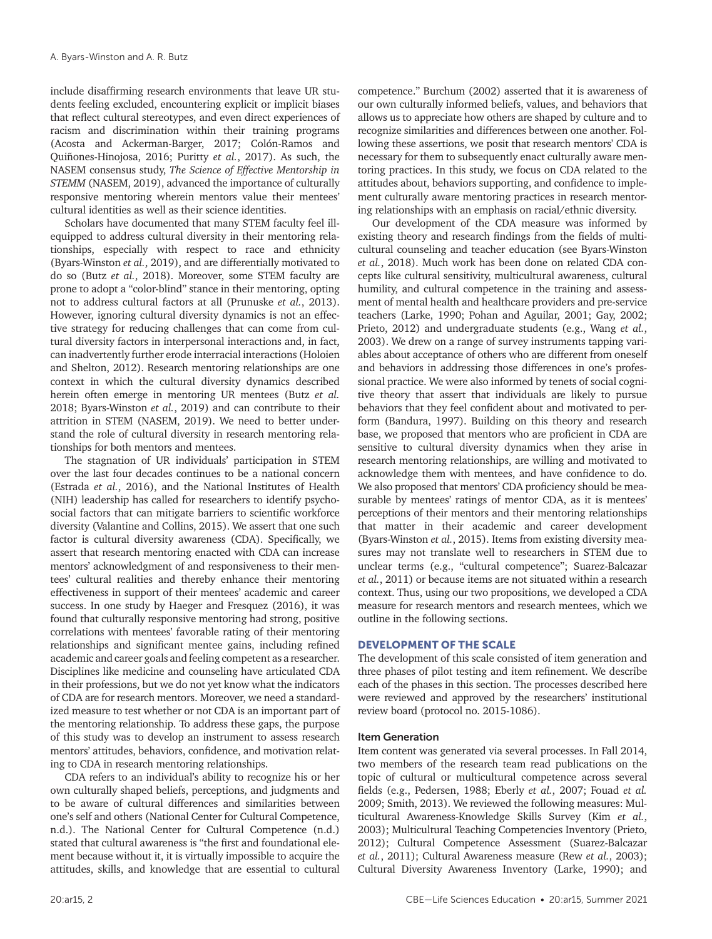include disaffirming research environments that leave UR students feeling excluded, encountering explicit or implicit biases that reflect cultural stereotypes, and even direct experiences of racism and discrimination within their training programs (Acosta and Ackerman-Barger, 2017; Colón-Ramos and Quiñones-Hinojosa, 2016; Puritty *et al.*, 2017). As such, the NASEM consensus study, *The Science of Effective Mentorship in STEMM* (NASEM, 2019), advanced the importance of culturally responsive mentoring wherein mentors value their mentees' cultural identities as well as their science identities.

Scholars have documented that many STEM faculty feel illequipped to address cultural diversity in their mentoring relationships, especially with respect to race and ethnicity (Byars-Winston *et al.*, 2019), and are differentially motivated to do so (Butz *et al.*, 2018). Moreover, some STEM faculty are prone to adopt a "color-blind" stance in their mentoring, opting not to address cultural factors at all (Prunuske *et al.*, 2013). However, ignoring cultural diversity dynamics is not an effective strategy for reducing challenges that can come from cultural diversity factors in interpersonal interactions and, in fact, can inadvertently further erode interracial interactions (Holoien and Shelton, 2012). Research mentoring relationships are one context in which the cultural diversity dynamics described herein often emerge in mentoring UR mentees (Butz *et al.* 2018; Byars-Winston *et al.*, 2019) and can contribute to their attrition in STEM (NASEM, 2019). We need to better understand the role of cultural diversity in research mentoring relationships for both mentors and mentees.

The stagnation of UR individuals' participation in STEM over the last four decades continues to be a national concern (Estrada *et al.*, 2016), and the National Institutes of Health (NIH) leadership has called for researchers to identify psychosocial factors that can mitigate barriers to scientific workforce diversity (Valantine and Collins, 2015). We assert that one such factor is cultural diversity awareness (CDA). Specifically, we assert that research mentoring enacted with CDA can increase mentors' acknowledgment of and responsiveness to their mentees' cultural realities and thereby enhance their mentoring effectiveness in support of their mentees' academic and career success. In one study by Haeger and Fresquez (2016), it was found that culturally responsive mentoring had strong, positive correlations with mentees' favorable rating of their mentoring relationships and significant mentee gains, including refined academic and career goals and feeling competent as a researcher. Disciplines like medicine and counseling have articulated CDA in their professions, but we do not yet know what the indicators of CDA are for research mentors. Moreover, we need a standardized measure to test whether or not CDA is an important part of the mentoring relationship. To address these gaps, the purpose of this study was to develop an instrument to assess research mentors' attitudes, behaviors, confidence, and motivation relating to CDA in research mentoring relationships.

CDA refers to an individual's ability to recognize his or her own culturally shaped beliefs, perceptions, and judgments and to be aware of cultural differences and similarities between one's self and others (National Center for Cultural Competence, n.d.). The National Center for Cultural Competence (n.d.) stated that cultural awareness is "the first and foundational element because without it, it is virtually impossible to acquire the attitudes, skills, and knowledge that are essential to cultural

competence." Burchum (2002) asserted that it is awareness of our own culturally informed beliefs, values, and behaviors that allows us to appreciate how others are shaped by culture and to recognize similarities and differences between one another. Following these assertions, we posit that research mentors' CDA is necessary for them to subsequently enact culturally aware mentoring practices. In this study, we focus on CDA related to the attitudes about, behaviors supporting, and confidence to implement culturally aware mentoring practices in research mentoring relationships with an emphasis on racial/ethnic diversity.

Our development of the CDA measure was informed by existing theory and research findings from the fields of multicultural counseling and teacher education (see Byars-Winston *et al.*, 2018). Much work has been done on related CDA concepts like cultural sensitivity, multicultural awareness, cultural humility, and cultural competence in the training and assessment of mental health and healthcare providers and pre-service teachers (Larke, 1990; Pohan and Aguilar, 2001; Gay, 2002; Prieto, 2012) and undergraduate students (e.g., Wang *et al.*, 2003). We drew on a range of survey instruments tapping variables about acceptance of others who are different from oneself and behaviors in addressing those differences in one's professional practice. We were also informed by tenets of social cognitive theory that assert that individuals are likely to pursue behaviors that they feel confident about and motivated to perform (Bandura, 1997). Building on this theory and research base, we proposed that mentors who are proficient in CDA are sensitive to cultural diversity dynamics when they arise in research mentoring relationships, are willing and motivated to acknowledge them with mentees, and have confidence to do. We also proposed that mentors' CDA proficiency should be measurable by mentees' ratings of mentor CDA, as it is mentees' perceptions of their mentors and their mentoring relationships that matter in their academic and career development (Byars-Winston *et al.*, 2015). Items from existing diversity measures may not translate well to researchers in STEM due to unclear terms (e.g., "cultural competence"; Suarez-Balcazar *et al.*, 2011) or because items are not situated within a research context. Thus, using our two propositions, we developed a CDA measure for research mentors and research mentees, which we outline in the following sections.

# DEVELOPMENT OF THE SCALE

The development of this scale consisted of item generation and three phases of pilot testing and item refinement. We describe each of the phases in this section. The processes described here were reviewed and approved by the researchers' institutional review board (protocol no. 2015-1086).

## Item Generation

Item content was generated via several processes. In Fall 2014, two members of the research team read publications on the topic of cultural or multicultural competence across several fields (e.g., Pedersen, 1988; Eberly *et al.*, 2007; Fouad *et al.* 2009; Smith, 2013). We reviewed the following measures: Multicultural Awareness-Knowledge Skills Survey (Kim *et al.*, 2003); Multicultural Teaching Competencies Inventory (Prieto, 2012); Cultural Competence Assessment (Suarez-Balcazar *et al.*, 2011); Cultural Awareness measure (Rew *et al.*, 2003); Cultural Diversity Awareness Inventory (Larke, 1990); and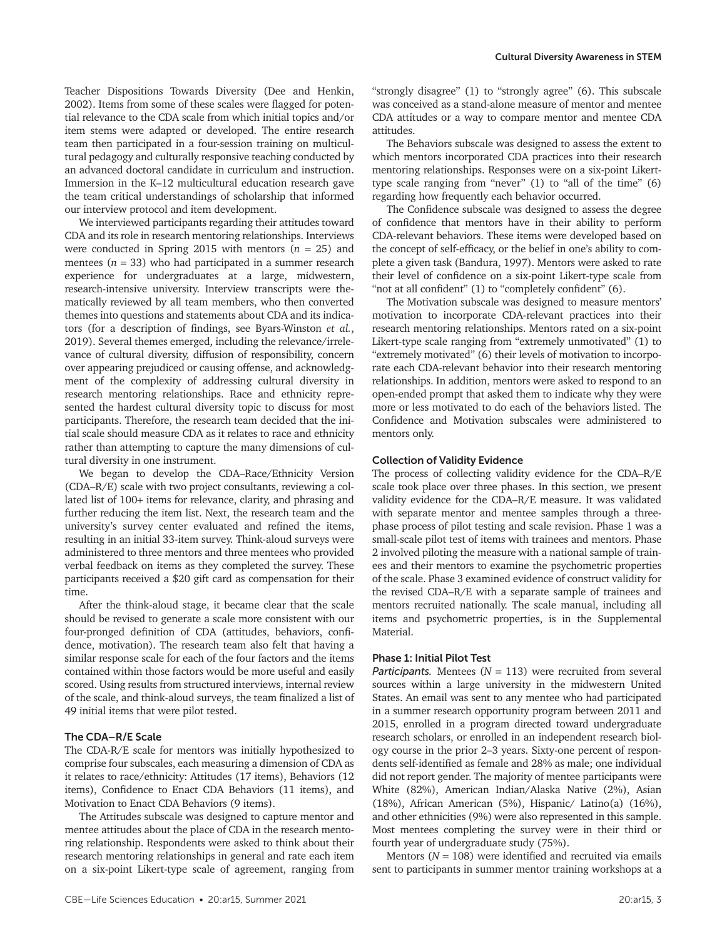Teacher Dispositions Towards Diversity (Dee and Henkin, 2002). Items from some of these scales were flagged for potential relevance to the CDA scale from which initial topics and/or item stems were adapted or developed. The entire research team then participated in a four-session training on multicultural pedagogy and culturally responsive teaching conducted by an advanced doctoral candidate in curriculum and instruction. Immersion in the K–12 multicultural education research gave the team critical understandings of scholarship that informed our interview protocol and item development.

We interviewed participants regarding their attitudes toward CDA and its role in research mentoring relationships. Interviews were conducted in Spring 2015 with mentors (*n* = 25) and mentees  $(n = 33)$  who had participated in a summer research experience for undergraduates at a large, midwestern, research-intensive university. Interview transcripts were thematically reviewed by all team members, who then converted themes into questions and statements about CDA and its indicators (for a description of findings, see Byars-Winston *et al.*, 2019). Several themes emerged, including the relevance/irrelevance of cultural diversity, diffusion of responsibility, concern over appearing prejudiced or causing offense, and acknowledgment of the complexity of addressing cultural diversity in research mentoring relationships. Race and ethnicity represented the hardest cultural diversity topic to discuss for most participants. Therefore, the research team decided that the initial scale should measure CDA as it relates to race and ethnicity rather than attempting to capture the many dimensions of cultural diversity in one instrument.

We began to develop the CDA–Race/Ethnicity Version (CDA–R/E) scale with two project consultants, reviewing a collated list of 100+ items for relevance, clarity, and phrasing and further reducing the item list. Next, the research team and the university's survey center evaluated and refined the items, resulting in an initial 33-item survey. Think-aloud surveys were administered to three mentors and three mentees who provided verbal feedback on items as they completed the survey. These participants received a \$20 gift card as compensation for their time.

After the think-aloud stage, it became clear that the scale should be revised to generate a scale more consistent with our four-pronged definition of CDA (attitudes, behaviors, confidence, motivation). The research team also felt that having a similar response scale for each of the four factors and the items contained within those factors would be more useful and easily scored. Using results from structured interviews, internal review of the scale, and think-aloud surveys, the team finalized a list of 49 initial items that were pilot tested.

# The CDA–R/E Scale

The CDA-R/E scale for mentors was initially hypothesized to comprise four subscales, each measuring a dimension of CDA as it relates to race/ethnicity: Attitudes (17 items), Behaviors (12 items), Confidence to Enact CDA Behaviors (11 items), and Motivation to Enact CDA Behaviors (9 items).

The Attitudes subscale was designed to capture mentor and mentee attitudes about the place of CDA in the research mentoring relationship. Respondents were asked to think about their research mentoring relationships in general and rate each item on a six-point Likert-type scale of agreement, ranging from

"strongly disagree" (1) to "strongly agree" (6). This subscale was conceived as a stand-alone measure of mentor and mentee CDA attitudes or a way to compare mentor and mentee CDA attitudes.

The Behaviors subscale was designed to assess the extent to which mentors incorporated CDA practices into their research mentoring relationships. Responses were on a six-point Likerttype scale ranging from "never" (1) to "all of the time" (6) regarding how frequently each behavior occurred.

The Confidence subscale was designed to assess the degree of confidence that mentors have in their ability to perform CDA-relevant behaviors. These items were developed based on the concept of self-efficacy, or the belief in one's ability to complete a given task (Bandura, 1997). Mentors were asked to rate their level of confidence on a six-point Likert-type scale from "not at all confident" (1) to "completely confident" (6).

The Motivation subscale was designed to measure mentors' motivation to incorporate CDA-relevant practices into their research mentoring relationships. Mentors rated on a six-point Likert-type scale ranging from "extremely unmotivated" (1) to "extremely motivated" (6) their levels of motivation to incorporate each CDA-relevant behavior into their research mentoring relationships. In addition, mentors were asked to respond to an open-ended prompt that asked them to indicate why they were more or less motivated to do each of the behaviors listed. The Confidence and Motivation subscales were administered to mentors only.

# Collection of Validity Evidence

The process of collecting validity evidence for the CDA–R/E scale took place over three phases. In this section, we present validity evidence for the CDA–R/E measure. It was validated with separate mentor and mentee samples through a threephase process of pilot testing and scale revision. Phase 1 was a small-scale pilot test of items with trainees and mentors. Phase 2 involved piloting the measure with a national sample of trainees and their mentors to examine the psychometric properties of the scale. Phase 3 examined evidence of construct validity for the revised CDA–R/E with a separate sample of trainees and mentors recruited nationally. The scale manual, including all items and psychometric properties, is in the Supplemental Material.

# Phase 1: Initial Pilot Test

*Participants.* Mentees  $(N = 113)$  were recruited from several sources within a large university in the midwestern United States. An email was sent to any mentee who had participated in a summer research opportunity program between 2011 and 2015, enrolled in a program directed toward undergraduate research scholars, or enrolled in an independent research biology course in the prior 2–3 years. Sixty-one percent of respondents self-identified as female and 28% as male; one individual did not report gender. The majority of mentee participants were White (82%), American Indian/Alaska Native (2%), Asian (18%), African American (5%), Hispanic/ Latino(a) (16%), and other ethnicities (9%) were also represented in this sample. Most mentees completing the survey were in their third or fourth year of undergraduate study (75%).

Mentors  $(N = 108)$  were identified and recruited via emails sent to participants in summer mentor training workshops at a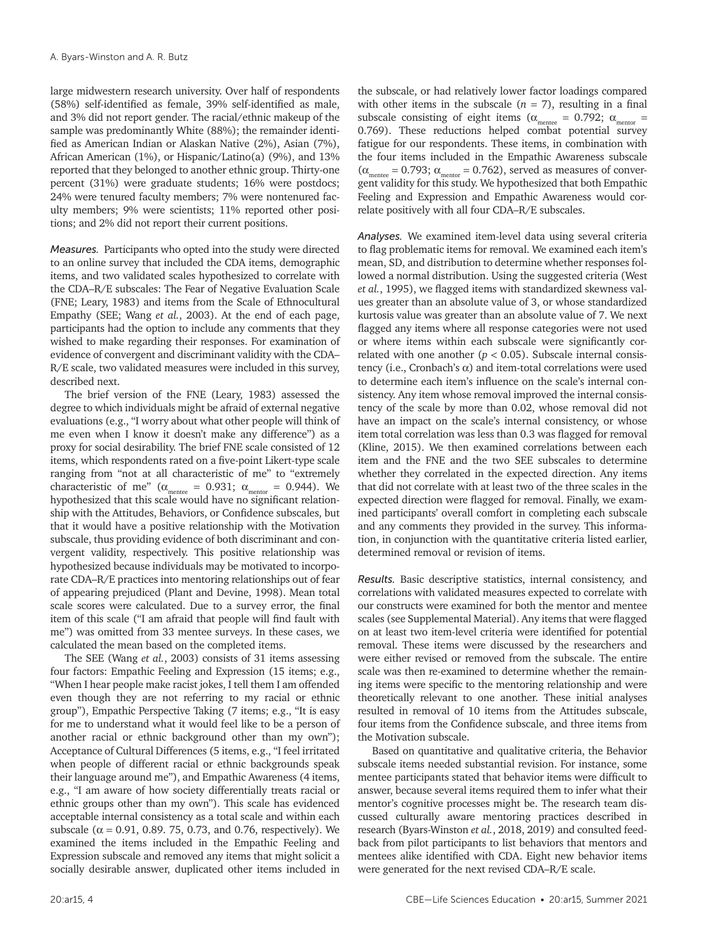large midwestern research university. Over half of respondents (58%) self-identified as female, 39% self-identified as male, and 3% did not report gender. The racial/ethnic makeup of the sample was predominantly White (88%); the remainder identified as American Indian or Alaskan Native (2%), Asian (7%), African American (1%), or Hispanic/Latino(a) (9%), and 13% reported that they belonged to another ethnic group. Thirty-one percent (31%) were graduate students; 16% were postdocs; 24% were tenured faculty members; 7% were nontenured faculty members; 9% were scientists; 11% reported other positions; and 2% did not report their current positions.

*Measures.* Participants who opted into the study were directed to an online survey that included the CDA items, demographic items, and two validated scales hypothesized to correlate with the CDA–R/E subscales: The Fear of Negative Evaluation Scale (FNE; Leary, 1983) and items from the Scale of Ethnocultural Empathy (SEE; Wang *et al.*, 2003). At the end of each page, participants had the option to include any comments that they wished to make regarding their responses. For examination of evidence of convergent and discriminant validity with the CDA– R/E scale, two validated measures were included in this survey, described next.

The brief version of the FNE (Leary, 1983) assessed the degree to which individuals might be afraid of external negative evaluations (e.g., "I worry about what other people will think of me even when I know it doesn't make any difference") as a proxy for social desirability. The brief FNE scale consisted of 12 items, which respondents rated on a five-point Likert-type scale ranging from "not at all characteristic of me" to "extremely characteristic of me" ( $\alpha_{\text{mente}} = 0.931$ ;  $\alpha_{\text{metro}} = 0.944$ ). We hypothesized that this scale would have no significant relationship with the Attitudes, Behaviors, or Confidence subscales, but that it would have a positive relationship with the Motivation subscale, thus providing evidence of both discriminant and convergent validity, respectively. This positive relationship was hypothesized because individuals may be motivated to incorporate CDA–R/E practices into mentoring relationships out of fear of appearing prejudiced (Plant and Devine, 1998). Mean total scale scores were calculated. Due to a survey error, the final item of this scale ("I am afraid that people will find fault with me") was omitted from 33 mentee surveys. In these cases, we calculated the mean based on the completed items.

The SEE (Wang *et al.*, 2003) consists of 31 items assessing four factors: Empathic Feeling and Expression (15 items; e.g., "When I hear people make racist jokes, I tell them I am offended even though they are not referring to my racial or ethnic group"), Empathic Perspective Taking (7 items; e.g., "It is easy for me to understand what it would feel like to be a person of another racial or ethnic background other than my own"); Acceptance of Cultural Differences (5 items, e.g., "I feel irritated when people of different racial or ethnic backgrounds speak their language around me"), and Empathic Awareness (4 items, e.g., "I am aware of how society differentially treats racial or ethnic groups other than my own"). This scale has evidenced acceptable internal consistency as a total scale and within each subscale ( $α = 0.91$ , 0.89. 75, 0.73, and 0.76, respectively). We examined the items included in the Empathic Feeling and Expression subscale and removed any items that might solicit a socially desirable answer, duplicated other items included in

the subscale, or had relatively lower factor loadings compared with other items in the subscale  $(n = 7)$ , resulting in a final subscale consisting of eight items ( $\alpha_{\text{mence}} = 0.792$ ;  $\alpha_{\text{mentor}} =$ 0.769). These reductions helped combat potential survey fatigue for our respondents. These items, in combination with the four items included in the Empathic Awareness subscale  $(\alpha_{\text{mente}} = 0.793; \alpha_{\text{mentor}} = 0.762)$ , served as measures of convergent validity for this study. We hypothesized that both Empathic Feeling and Expression and Empathic Awareness would correlate positively with all four CDA–R/E subscales.

*Analyses.* We examined item-level data using several criteria to flag problematic items for removal. We examined each item's mean, SD, and distribution to determine whether responses followed a normal distribution. Using the suggested criteria (West *et al.*, 1995), we flagged items with standardized skewness values greater than an absolute value of 3, or whose standardized kurtosis value was greater than an absolute value of 7. We next flagged any items where all response categories were not used or where items within each subscale were significantly correlated with one another  $(p < 0.05)$ . Subscale internal consistency (i.e., Cronbach's α) and item-total correlations were used to determine each item's influence on the scale's internal consistency. Any item whose removal improved the internal consistency of the scale by more than 0.02, whose removal did not have an impact on the scale's internal consistency, or whose item total correlation was less than 0.3 was flagged for removal (Kline, 2015). We then examined correlations between each item and the FNE and the two SEE subscales to determine whether they correlated in the expected direction. Any items that did not correlate with at least two of the three scales in the expected direction were flagged for removal. Finally, we examined participants' overall comfort in completing each subscale and any comments they provided in the survey. This information, in conjunction with the quantitative criteria listed earlier, determined removal or revision of items.

*Results.* Basic descriptive statistics, internal consistency, and correlations with validated measures expected to correlate with our constructs were examined for both the mentor and mentee scales (see Supplemental Material). Any items that were flagged on at least two item-level criteria were identified for potential removal. These items were discussed by the researchers and were either revised or removed from the subscale. The entire scale was then re-examined to determine whether the remaining items were specific to the mentoring relationship and were theoretically relevant to one another. These initial analyses resulted in removal of 10 items from the Attitudes subscale, four items from the Confidence subscale, and three items from the Motivation subscale.

Based on quantitative and qualitative criteria, the Behavior subscale items needed substantial revision. For instance, some mentee participants stated that behavior items were difficult to answer, because several items required them to infer what their mentor's cognitive processes might be. The research team discussed culturally aware mentoring practices described in research (Byars-Winston *et al.*, 2018, 2019) and consulted feedback from pilot participants to list behaviors that mentors and mentees alike identified with CDA. Eight new behavior items were generated for the next revised CDA–R/E scale.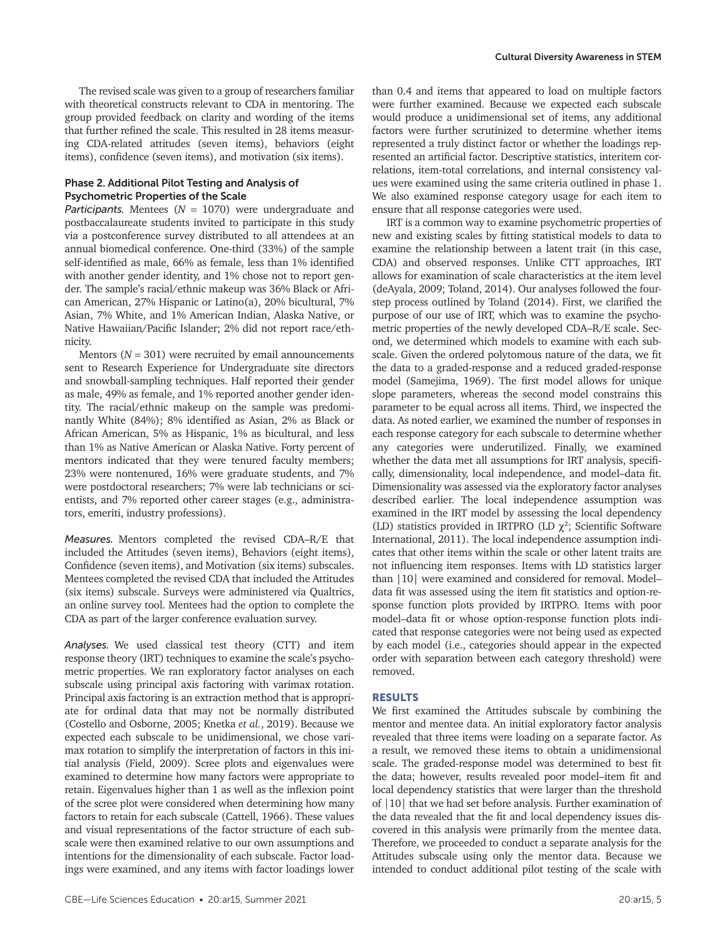The revised scale was given to a group of researchers familiar with theoretical constructs relevant to CDA in mentoring. The group provided feedback on clarity and wording of the items that further refined the scale. This resulted in 28 items measuring CDA-related attitudes (seven items), behaviors (eight items), confidence (seven items), and motivation (six items).

# Phase 2. Additional Pilot Testing and Analysis of Psychometric Properties of the Scale

*Participants.* Mentees (*N* = 1070) were undergraduate and postbaccalaureate students invited to participate in this study via a postconference survey distributed to all attendees at an annual biomedical conference. One-third (33%) of the sample self-identified as male, 66% as female, less than 1% identified with another gender identity, and 1% chose not to report gender. The sample's racial/ethnic makeup was 36% Black or African American, 27% Hispanic or Latino(a), 20% bicultural, 7% Asian, 7% White, and 1% American Indian, Alaska Native, or Native Hawaiian/Pacific Islander; 2% did not report race/ethnicity.

Mentors  $(N = 301)$  were recruited by email announcements sent to Research Experience for Undergraduate site directors and snowball-sampling techniques. Half reported their gender as male, 49% as female, and 1% reported another gender identity. The racial/ethnic makeup on the sample was predominantly White (84%); 8% identified as Asian, 2% as Black or African American, 5% as Hispanic, 1% as bicultural, and less than 1% as Native American or Alaska Native. Forty percent of mentors indicated that they were tenured faculty members; 23% were nontenured, 16% were graduate students, and 7% were postdoctoral researchers; 7% were lab technicians or scientists, and 7% reported other career stages (e.g., administrators, emeriti, industry professions).

*Measures.* Mentors completed the revised CDA–R/E that included the Attitudes (seven items), Behaviors (eight items), Confidence (seven items), and Motivation (six items) subscales. Mentees completed the revised CDA that included the Attitudes (six items) subscale. Surveys were administered via Qualtrics, an online survey tool. Mentees had the option to complete the CDA as part of the larger conference evaluation survey.

*Analyses.* We used classical test theory (CTT) and item response theory (IRT) techniques to examine the scale's psychometric properties. We ran exploratory factor analyses on each subscale using principal axis factoring with varimax rotation. Principal axis factoring is an extraction method that is appropriate for ordinal data that may not be normally distributed (Costello and Osborne, 2005; Knetka *et al.*, 2019). Because we expected each subscale to be unidimensional, we chose varimax rotation to simplify the interpretation of factors in this initial analysis (Field, 2009). Scree plots and eigenvalues were examined to determine how many factors were appropriate to retain. Eigenvalues higher than 1 as well as the inflexion point of the scree plot were considered when determining how many factors to retain for each subscale (Cattell, 1966). These values and visual representations of the factor structure of each subscale were then examined relative to our own assumptions and intentions for the dimensionality of each subscale. Factor loadings were examined, and any items with factor loadings lower than 0.4 and items that appeared to load on multiple factors were further examined. Because we expected each subscale would produce a unidimensional set of items, any additional factors were further scrutinized to determine whether items represented a truly distinct factor or whether the loadings represented an artificial factor. Descriptive statistics, interitem correlations, item-total correlations, and internal consistency values were examined using the same criteria outlined in phase 1. We also examined response category usage for each item to ensure that all response categories were used.

IRT is a common way to examine psychometric properties of new and existing scales by fitting statistical models to data to examine the relationship between a latent trait (in this case, CDA) and observed responses. Unlike CTT approaches, IRT allows for examination of scale characteristics at the item level (deAyala, 2009; Toland, 2014). Our analyses followed the fourstep process outlined by Toland (2014). First, we clarified the purpose of our use of IRT, which was to examine the psychometric properties of the newly developed CDA–R/E scale. Second, we determined which models to examine with each subscale. Given the ordered polytomous nature of the data, we fit the data to a graded-response and a reduced graded-response model (Samejima, 1969). The first model allows for unique slope parameters, whereas the second model constrains this parameter to be equal across all items. Third, we inspected the data. As noted earlier, we examined the number of responses in each response category for each subscale to determine whether any categories were underutilized. Finally, we examined whether the data met all assumptions for IRT analysis, specifically, dimensionality, local independence, and model–data fit. Dimensionality was assessed via the exploratory factor analyses described earlier. The local independence assumption was examined in the IRT model by assessing the local dependency (LD) statistics provided in IRTPRO (LD  $\chi^2$ ; Scientific Software International, 2011). The local independence assumption indicates that other items within the scale or other latent traits are not influencing item responses. Items with LD statistics larger than |10| were examined and considered for removal. Model– data fit was assessed using the item fit statistics and option-response function plots provided by IRTPRO. Items with poor model–data fit or whose option-response function plots indicated that response categories were not being used as expected by each model (i.e., categories should appear in the expected order with separation between each category threshold) were removed.

# RESULTS

We first examined the Attitudes subscale by combining the mentor and mentee data. An initial exploratory factor analysis revealed that three items were loading on a separate factor. As a result, we removed these items to obtain a unidimensional scale. The graded-response model was determined to best fit the data; however, results revealed poor model–item fit and local dependency statistics that were larger than the threshold of |10| that we had set before analysis. Further examination of the data revealed that the fit and local dependency issues discovered in this analysis were primarily from the mentee data. Therefore, we proceeded to conduct a separate analysis for the Attitudes subscale using only the mentor data. Because we intended to conduct additional pilot testing of the scale with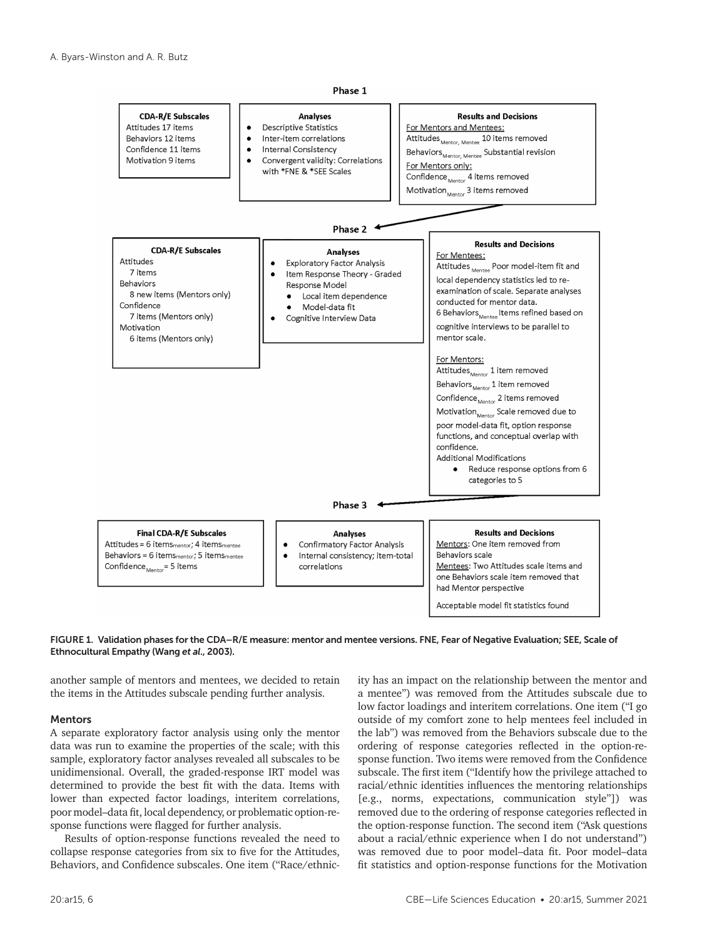



another sample of mentors and mentees, we decided to retain the items in the Attitudes subscale pending further analysis.

#### Mentors

A separate exploratory factor analysis using only the mentor data was run to examine the properties of the scale; with this sample, exploratory factor analyses revealed all subscales to be unidimensional. Overall, the graded-response IRT model was determined to provide the best fit with the data. Items with lower than expected factor loadings, interitem correlations, poor model–data fit, local dependency, or problematic option-response functions were flagged for further analysis.

Results of option-response functions revealed the need to collapse response categories from six to five for the Attitudes, Behaviors, and Confidence subscales. One item ("Race/ethnicity has an impact on the relationship between the mentor and a mentee") was removed from the Attitudes subscale due to low factor loadings and interitem correlations. One item ("I go outside of my comfort zone to help mentees feel included in the lab") was removed from the Behaviors subscale due to the ordering of response categories reflected in the option-response function. Two items were removed from the Confidence subscale. The first item ("Identify how the privilege attached to racial/ethnic identities influences the mentoring relationships [e.g., norms, expectations, communication style"]) was removed due to the ordering of response categories reflected in the option-response function. The second item ("Ask questions about a racial/ethnic experience when I do not understand") was removed due to poor model–data fit. Poor model–data fit statistics and option-response functions for the Motivation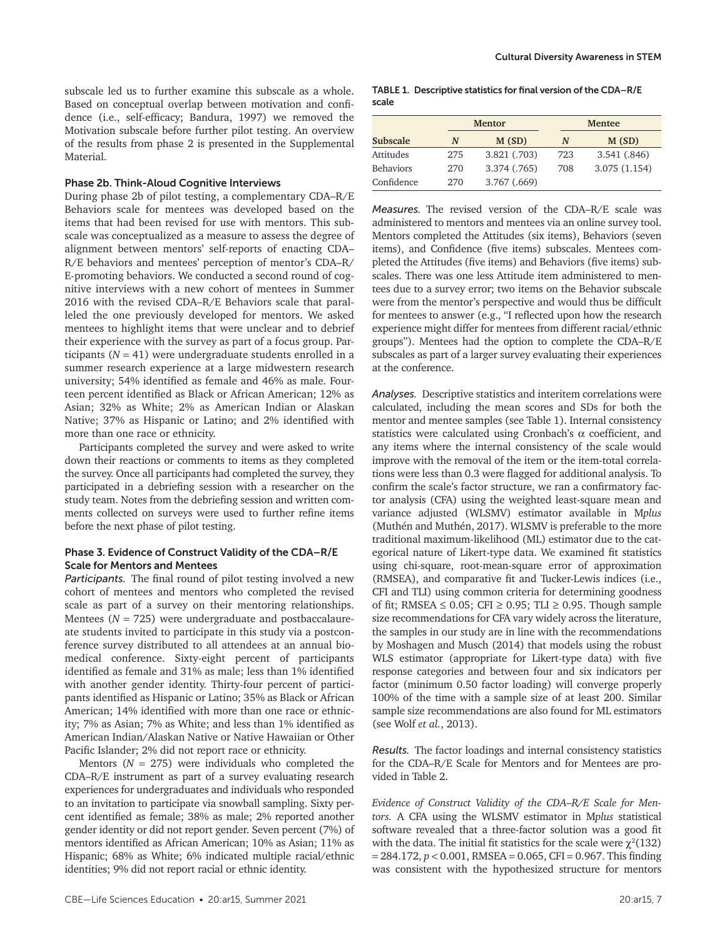subscale led us to further examine this subscale as a whole. Based on conceptual overlap between motivation and confidence (i.e., self-efficacy; Bandura, 1997) we removed the Motivation subscale before further pilot testing. An overview of the results from phase 2 is presented in the Supplemental Material.

# Phase 2b. Think-Aloud Cognitive Interviews

During phase 2b of pilot testing, a complementary CDA–R/E Behaviors scale for mentees was developed based on the items that had been revised for use with mentors. This subscale was conceptualized as a measure to assess the degree of alignment between mentors' self-reports of enacting CDA– R/E behaviors and mentees' perception of mentor's CDA–R/ E-promoting behaviors. We conducted a second round of cognitive interviews with a new cohort of mentees in Summer 2016 with the revised CDA–R/E Behaviors scale that paralleled the one previously developed for mentors. We asked mentees to highlight items that were unclear and to debrief their experience with the survey as part of a focus group. Participants  $(N = 41)$  were undergraduate students enrolled in a summer research experience at a large midwestern research university; 54% identified as female and 46% as male. Fourteen percent identified as Black or African American; 12% as Asian; 32% as White; 2% as American Indian or Alaskan Native; 37% as Hispanic or Latino; and 2% identified with more than one race or ethnicity.

Participants completed the survey and were asked to write down their reactions or comments to items as they completed the survey. Once all participants had completed the survey, they participated in a debriefing session with a researcher on the study team. Notes from the debriefing session and written comments collected on surveys were used to further refine items before the next phase of pilot testing.

# Phase 3. Evidence of Construct Validity of the CDA–R/E Scale for Mentors and Mentees

*Participants.* The final round of pilot testing involved a new cohort of mentees and mentors who completed the revised scale as part of a survey on their mentoring relationships. Mentees (*N* = 725) were undergraduate and postbaccalaureate students invited to participate in this study via a postconference survey distributed to all attendees at an annual biomedical conference. Sixty-eight percent of participants identified as female and 31% as male; less than 1% identified with another gender identity. Thirty-four percent of participants identified as Hispanic or Latino; 35% as Black or African American; 14% identified with more than one race or ethnicity; 7% as Asian; 7% as White; and less than 1% identified as American Indian/Alaskan Native or Native Hawaiian or Other Pacific Islander; 2% did not report race or ethnicity.

Mentors ( $N = 275$ ) were individuals who completed the CDA–R/E instrument as part of a survey evaluating research experiences for undergraduates and individuals who responded to an invitation to participate via snowball sampling. Sixty percent identified as female; 38% as male; 2% reported another gender identity or did not report gender. Seven percent (7%) of mentors identified as African American; 10% as Asian; 11% as Hispanic; 68% as White; 6% indicated multiple racial/ethnic identities; 9% did not report racial or ethnic identity.

TABLE 1. Descriptive statistics for final version of the CDA–R/E scale

|                  | <b>Mentor</b> |              | <b>Mentee</b> |              |
|------------------|---------------|--------------|---------------|--------------|
| Subscale         | N             | M(SD)        | N             | M(SD)        |
| Attitudes        | 275           | 3.821 (.703) | 723           | 3.541(.846)  |
| <b>Behaviors</b> | 270           | 3.374 (.765) | 708           | 3.075(1.154) |
| Confidence       | 270           | 3.767(0.669) |               |              |

*Measures.* The revised version of the CDA–R/E scale was administered to mentors and mentees via an online survey tool. Mentors completed the Attitudes (six items), Behaviors (seven items), and Confidence (five items) subscales. Mentees completed the Attitudes (five items) and Behaviors (five items) subscales. There was one less Attitude item administered to mentees due to a survey error; two items on the Behavior subscale were from the mentor's perspective and would thus be difficult for mentees to answer (e.g., "I reflected upon how the research experience might differ for mentees from different racial/ethnic groups"). Mentees had the option to complete the CDA–R/E subscales as part of a larger survey evaluating their experiences at the conference.

*Analyses.* Descriptive statistics and interitem correlations were calculated, including the mean scores and SDs for both the mentor and mentee samples (see Table 1). Internal consistency statistics were calculated using Cronbach's  $\alpha$  coefficient, and any items where the internal consistency of the scale would improve with the removal of the item or the item-total correlations were less than 0.3 were flagged for additional analysis. To confirm the scale's factor structure, we ran a confirmatory factor analysis (CFA) using the weighted least-square mean and variance adjusted (WLSMV) estimator available in M*plus* (Muthén and Muthén, 2017). WLSMV is preferable to the more traditional maximum-likelihood (ML) estimator due to the categorical nature of Likert-type data. We examined fit statistics using chi-square, root-mean-square error of approximation (RMSEA), and comparative fit and Tucker-Lewis indices (i.e., CFI and TLI) using common criteria for determining goodness of fit; RMSEA  $\leq$  0.05; CFI  $\geq$  0.95; TLI  $\geq$  0.95. Though sample size recommendations for CFA vary widely across the literature, the samples in our study are in line with the recommendations by Moshagen and Musch (2014) that models using the robust WLS estimator (appropriate for Likert-type data) with five response categories and between four and six indicators per factor (minimum 0.50 factor loading) will converge properly 100% of the time with a sample size of at least 200. Similar sample size recommendations are also found for ML estimators (see Wolf *et al.*, 2013).

*Results.* The factor loadings and internal consistency statistics for the CDA–R/E Scale for Mentors and for Mentees are provided in Table 2.

*Evidence of Construct Validity of the CDA–R/E Scale for Mentors.* A CFA using the WLSMV estimator in M*plus* statistical software revealed that a three-factor solution was a good fit with the data. The initial fit statistics for the scale were  $\chi^2(132)$  $= 284.172$ ,  $p < 0.001$ , RMSEA  $= 0.065$ , CFI  $= 0.967$ . This finding was consistent with the hypothesized structure for mentors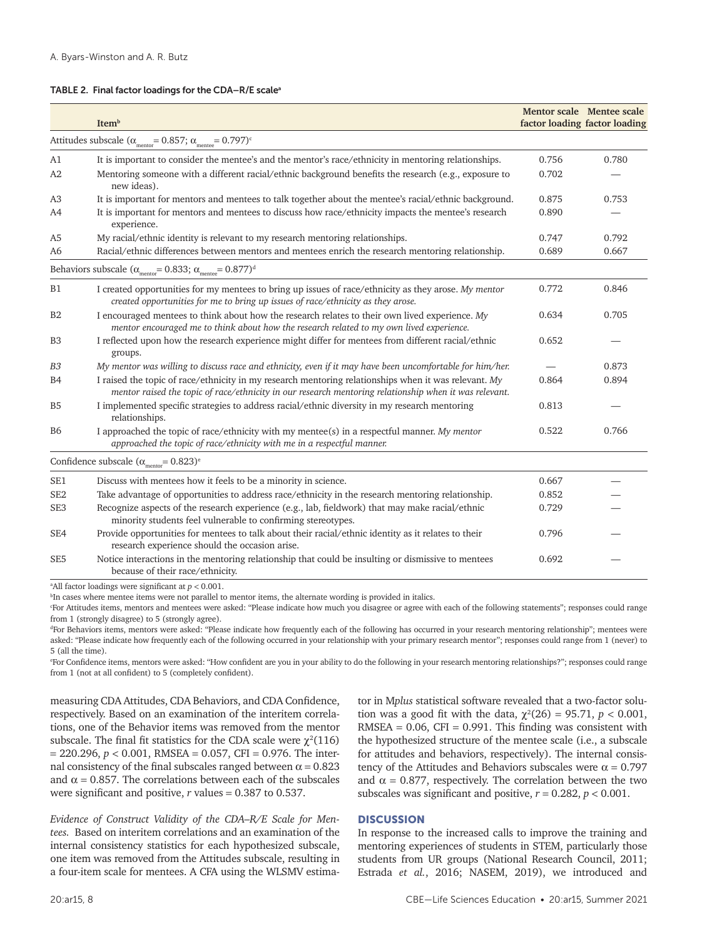#### TABLE 2. Final factor loadings for the CDA-R/E scale<sup>a</sup>

|                 | Item <sup>b</sup>                                                                                                                                                                                              |       | Mentor scale Mentee scale<br>factor loading factor loading |
|-----------------|----------------------------------------------------------------------------------------------------------------------------------------------------------------------------------------------------------------|-------|------------------------------------------------------------|
|                 | Attitudes subscale ( $\alpha_{\rm{mentor}}$ = 0.857; $\alpha_{\rm{mente}}$ = 0.797) <sup>c</sup>                                                                                                               |       |                                                            |
| A1              | It is important to consider the mentee's and the mentor's race/ethnicity in mentoring relationships.                                                                                                           | 0.756 | 0.780                                                      |
| A2              | Mentoring someone with a different racial/ethnic background benefits the research (e.g., exposure to<br>new ideas).                                                                                            | 0.702 |                                                            |
| A3              | It is important for mentors and mentees to talk together about the mentee's racial/ethnic background.                                                                                                          | 0.875 | 0.753                                                      |
| A4              | It is important for mentors and mentees to discuss how race/ethnicity impacts the mentee's research<br>experience.                                                                                             | 0.890 |                                                            |
| A <sub>5</sub>  | My racial/ethnic identity is relevant to my research mentoring relationships.                                                                                                                                  | 0.747 | 0.792                                                      |
| A <sub>6</sub>  | Racial/ethnic differences between mentors and mentees enrich the research mentoring relationship.                                                                                                              | 0.689 | 0.667                                                      |
|                 | Behaviors subscale ( $\alpha_{\text{mentor}} = 0.833$ ; $\alpha_{\text{mente}} = 0.877$ ) <sup>d</sup>                                                                                                         |       |                                                            |
| <b>B1</b>       | I created opportunities for my mentees to bring up issues of race/ethnicity as they arose. My mentor<br>created opportunities for me to bring up issues of race/ethnicity as they arose.                       | 0.772 | 0.846                                                      |
| B2              | I encouraged mentees to think about how the research relates to their own lived experience. My<br>mentor encouraged me to think about how the research related to my own lived experience.                     | 0.634 | 0.705                                                      |
| B <sub>3</sub>  | I reflected upon how the research experience might differ for mentees from different racial/ethnic<br>groups.                                                                                                  | 0.652 |                                                            |
| B <sub>3</sub>  | My mentor was willing to discuss race and ethnicity, even if it may have been uncomfortable for him/her.                                                                                                       |       | 0.873                                                      |
| <b>B4</b>       | I raised the topic of race/ethnicity in my research mentoring relationships when it was relevant. My<br>mentor raised the topic of race/ethnicity in our research mentoring relationship when it was relevant. | 0.864 | 0.894                                                      |
| B <sub>5</sub>  | I implemented specific strategies to address racial/ethnic diversity in my research mentoring<br>relationships.                                                                                                | 0.813 |                                                            |
| <b>B6</b>       | I approached the topic of race/ethnicity with my mentee(s) in a respectful manner. My mentor<br>approached the topic of race/ethnicity with me in a respectful manner.                                         | 0.522 | 0.766                                                      |
|                 | Confidence subscale $(\alpha_{\text{mentor}} = 0.823)^e$                                                                                                                                                       |       |                                                            |
| SE <sub>1</sub> | Discuss with mentees how it feels to be a minority in science.                                                                                                                                                 | 0.667 |                                                            |
| SE <sub>2</sub> | Take advantage of opportunities to address race/ethnicity in the research mentoring relationship.                                                                                                              | 0.852 |                                                            |
| SE <sub>3</sub> | Recognize aspects of the research experience (e.g., lab, fieldwork) that may make racial/ethnic<br>minority students feel vulnerable to confirming stereotypes.                                                | 0.729 |                                                            |
| SE4             | Provide opportunities for mentees to talk about their racial/ethnic identity as it relates to their<br>research experience should the occasion arise.                                                          | 0.796 |                                                            |
| SE <sub>5</sub> | Notice interactions in the mentoring relationship that could be insulting or dismissive to mentees<br>because of their race/ethnicity.                                                                         | 0.692 |                                                            |
|                 | <sup>a</sup> All factor loadings were significant at $p < 0.001$ .                                                                                                                                             |       |                                                            |

<sup>b</sup>In cases where mentee items were not parallel to mentor items, the alternate wording is provided in italics.

c For Attitudes items, mentors and mentees were asked: "Please indicate how much you disagree or agree with each of the following statements"; responses could range from 1 (strongly disagree) to 5 (strongly agree).

d For Behaviors items, mentors were asked: "Please indicate how frequently each of the following has occurred in your research mentoring relationship"; mentees were asked: "Please indicate how frequently each of the following occurred in your relationship with your primary research mentor"; responses could range from 1 (never) to 5 (all the time).

e For Confidence items, mentors were asked: "How confident are you in your ability to do the following in your research mentoring relationships?"; responses could range from 1 (not at all confident) to 5 (completely confident).

measuring CDA Attitudes, CDA Behaviors, and CDA Confidence, respectively. Based on an examination of the interitem correlations, one of the Behavior items was removed from the mentor subscale. The final fit statistics for the CDA scale were  $\chi^2(116)$  $= 220.296$ ,  $p < 0.001$ , RMSEA = 0.057, CFI = 0.976. The internal consistency of the final subscales ranged between  $\alpha = 0.823$ and  $\alpha$  = 0.857. The correlations between each of the subscales were significant and positive, *r* values = 0.387 to 0.537.

*Evidence of Construct Validity of the CDA–R/E Scale for Mentees.* Based on interitem correlations and an examination of the internal consistency statistics for each hypothesized subscale, one item was removed from the Attitudes subscale, resulting in a four-item scale for mentees. A CFA using the WLSMV estimator in M*plus* statistical software revealed that a two-factor solution was a good fit with the data,  $\chi^2(26) = 95.71$ ,  $p < 0.001$ ,  $RMSEA = 0.06$ ,  $CFI = 0.991$ . This finding was consistent with the hypothesized structure of the mentee scale (i.e., a subscale for attitudes and behaviors, respectively). The internal consistency of the Attitudes and Behaviors subscales were  $\alpha = 0.797$ and  $\alpha$  = 0.877, respectively. The correlation between the two subscales was significant and positive,  $r = 0.282$ ,  $p < 0.001$ .

## **DISCUSSION**

In response to the increased calls to improve the training and mentoring experiences of students in STEM, particularly those students from UR groups (National Research Council, 2011; Estrada *et al.*, 2016; NASEM, 2019), we introduced and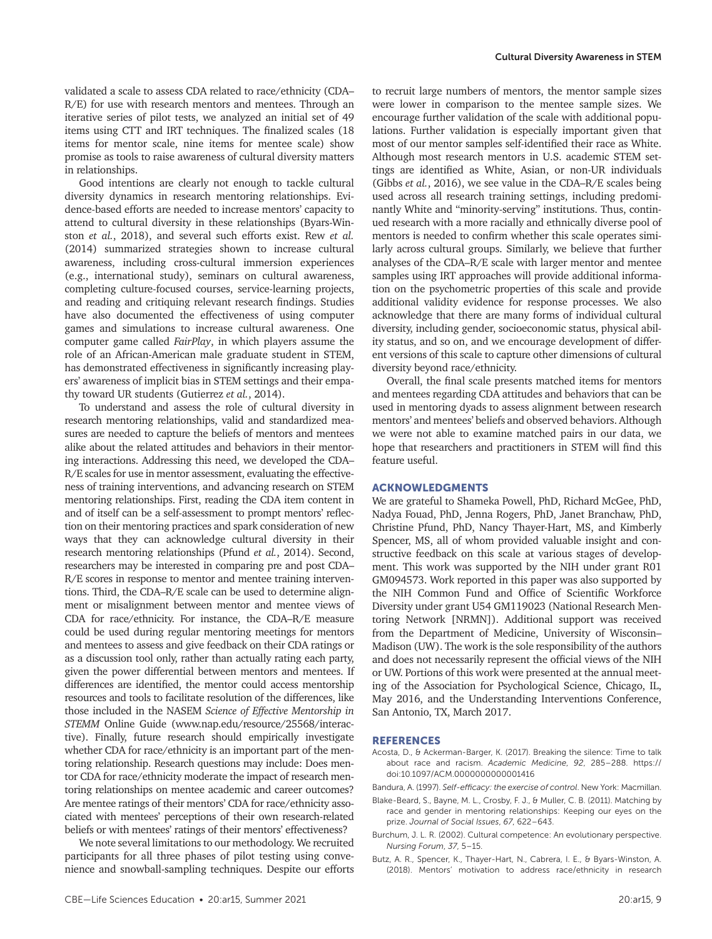validated a scale to assess CDA related to race/ethnicity (CDA– R/E) for use with research mentors and mentees. Through an iterative series of pilot tests, we analyzed an initial set of 49 items using CTT and IRT techniques. The finalized scales (18 items for mentor scale, nine items for mentee scale) show promise as tools to raise awareness of cultural diversity matters in relationships.

Good intentions are clearly not enough to tackle cultural diversity dynamics in research mentoring relationships. Evidence-based efforts are needed to increase mentors' capacity to attend to cultural diversity in these relationships (Byars-Winston *et al.*, 2018), and several such efforts exist. Rew *et al.* (2014) summarized strategies shown to increase cultural awareness, including cross-cultural immersion experiences (e.g., international study), seminars on cultural awareness, completing culture-focused courses, service-learning projects, and reading and critiquing relevant research findings. Studies have also documented the effectiveness of using computer games and simulations to increase cultural awareness. One computer game called *FairPlay*, in which players assume the role of an African-American male graduate student in STEM, has demonstrated effectiveness in significantly increasing players' awareness of implicit bias in STEM settings and their empathy toward UR students (Gutierrez *et al.*, 2014).

To understand and assess the role of cultural diversity in research mentoring relationships, valid and standardized measures are needed to capture the beliefs of mentors and mentees alike about the related attitudes and behaviors in their mentoring interactions. Addressing this need, we developed the CDA– R/E scales for use in mentor assessment, evaluating the effectiveness of training interventions, and advancing research on STEM mentoring relationships. First, reading the CDA item content in and of itself can be a self-assessment to prompt mentors' reflection on their mentoring practices and spark consideration of new ways that they can acknowledge cultural diversity in their research mentoring relationships (Pfund *et al.*, 2014). Second, researchers may be interested in comparing pre and post CDA– R/E scores in response to mentor and mentee training interventions. Third, the CDA–R/E scale can be used to determine alignment or misalignment between mentor and mentee views of CDA for race/ethnicity. For instance, the CDA–R/E measure could be used during regular mentoring meetings for mentors and mentees to assess and give feedback on their CDA ratings or as a discussion tool only, rather than actually rating each party, given the power differential between mentors and mentees. If differences are identified, the mentor could access mentorship resources and tools to facilitate resolution of the differences, like those included in the NASEM *Science of Effective Mentorship in STEMM* Online Guide (www.nap.edu/resource/25568/interactive). Finally, future research should empirically investigate whether CDA for race/ethnicity is an important part of the mentoring relationship. Research questions may include: Does mentor CDA for race/ethnicity moderate the impact of research mentoring relationships on mentee academic and career outcomes? Are mentee ratings of their mentors' CDA for race/ethnicity associated with mentees' perceptions of their own research-related beliefs or with mentees' ratings of their mentors' effectiveness?

We note several limitations to our methodology. We recruited participants for all three phases of pilot testing using convenience and snowball-sampling techniques. Despite our efforts to recruit large numbers of mentors, the mentor sample sizes were lower in comparison to the mentee sample sizes. We encourage further validation of the scale with additional populations. Further validation is especially important given that most of our mentor samples self-identified their race as White. Although most research mentors in U.S. academic STEM settings are identified as White, Asian, or non-UR individuals (Gibbs *et al.*, 2016), we see value in the CDA–R/E scales being used across all research training settings, including predominantly White and "minority-serving" institutions. Thus, continued research with a more racially and ethnically diverse pool of mentors is needed to confirm whether this scale operates similarly across cultural groups. Similarly, we believe that further analyses of the CDA–R/E scale with larger mentor and mentee samples using IRT approaches will provide additional information on the psychometric properties of this scale and provide additional validity evidence for response processes. We also acknowledge that there are many forms of individual cultural diversity, including gender, socioeconomic status, physical ability status, and so on, and we encourage development of different versions of this scale to capture other dimensions of cultural diversity beyond race/ethnicity.

Overall, the final scale presents matched items for mentors and mentees regarding CDA attitudes and behaviors that can be used in mentoring dyads to assess alignment between research mentors' and mentees' beliefs and observed behaviors. Although we were not able to examine matched pairs in our data, we hope that researchers and practitioners in STEM will find this feature useful.

#### ACKNOWLEDGMENTS

We are grateful to Shameka Powell, PhD, Richard McGee, PhD, Nadya Fouad, PhD, Jenna Rogers, PhD, Janet Branchaw, PhD, Christine Pfund, PhD, Nancy Thayer-Hart, MS, and Kimberly Spencer, MS, all of whom provided valuable insight and constructive feedback on this scale at various stages of development. This work was supported by the NIH under grant R01 GM094573. Work reported in this paper was also supported by the NIH Common Fund and Office of Scientific Workforce Diversity under grant U54 GM119023 (National Research Mentoring Network [NRMN]). Additional support was received from the Department of Medicine, University of Wisconsin– Madison (UW). The work is the sole responsibility of the authors and does not necessarily represent the official views of the NIH or UW. Portions of this work were presented at the annual meeting of the Association for Psychological Science, Chicago, IL, May 2016, and the Understanding Interventions Conference, San Antonio, TX, March 2017.

#### **REFERENCES**

- Acosta, D., & Ackerman-Barger, K. (2017). Breaking the silence: Time to talk about race and racism. *Academic Medicine*, *92*, 285–288. https:// doi:10.1097/ACM.0000000000001416
- Bandura, A. (1997). *Self-efficacy: the exercise of control*. New York: Macmillan.
- Blake-Beard, S., Bayne, M. L., Crosby, F. J., & Muller, C. B. (2011). Matching by race and gender in mentoring relationships: Keeping our eyes on the prize. *Journal of Social Issues*, *67*, 622–643.
- Burchum, J. L. R. (2002). Cultural competence: An evolutionary perspective. *Nursing Forum*, *37*, 5–15.
- Butz, A. R., Spencer, K., Thayer-Hart, N., Cabrera, I. E., & Byars-Winston, A. (2018). Mentors' motivation to address race/ethnicity in research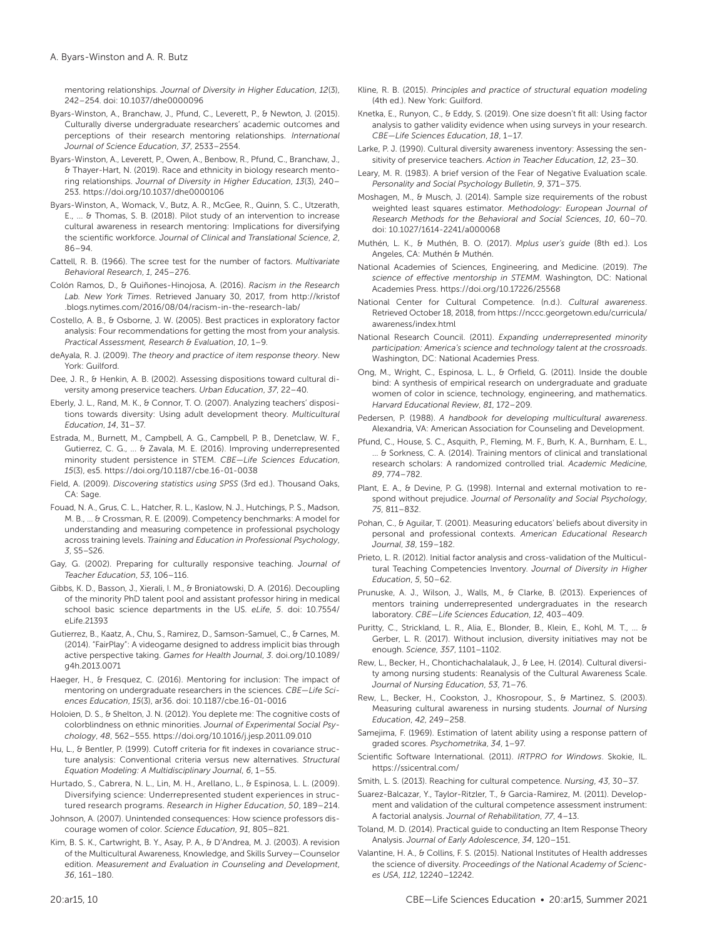mentoring relationships. *Journal of Diversity in Higher Education*, *12*(3), 242–254. doi: 10.1037/dhe0000096

- Byars-Winston, A., Branchaw, J., Pfund, C., Leverett, P., & Newton, J. (2015). Culturally diverse undergraduate researchers' academic outcomes and perceptions of their research mentoring relationships. *International Journal of Science Education*, *37*, 2533–2554.
- Byars-Winston, A., Leverett, P., Owen, A., Benbow, R., Pfund, C., Branchaw, J., & Thayer-Hart, N. (2019). Race and ethnicity in biology research mentoring relationships. *Journal of Diversity in Higher Education*, *13*(3), 240– 253.<https://doi.org/10.1037/dhe0000106>
- Byars-Winston, A.*,* Womack, V., Butz, A. R., McGee, R., Quinn, S. C., Utzerath, E., ... & Thomas, S. B. (2018). Pilot study of an intervention to increase cultural awareness in research mentoring: Implications for diversifying the scientific workforce. *Journal of Clinical and Translational Science*, *2*, 86–94.
- Cattell, R. B. (1966). The scree test for the number of factors. *Multivariate Behavioral Research*, *1*, 245–276.
- Colón Ramos, D., & Quiñones-Hinojosa, A. (2016). *Racism in the Research Lab. New York Times*. Retrieved January 30, 2017, from [http://kristof](http://kristof.blogs.nytimes.com/2016/08/04/racism-in-the-research-lab/) [.blogs.nytimes.com/2016/08/04/racism-in-the-research-lab/](http://kristof.blogs.nytimes.com/2016/08/04/racism-in-the-research-lab/)
- Costello, A. B., & Osborne, J. W. (2005). Best practices in exploratory factor analysis: Four recommendations for getting the most from your analysis. *Practical Assessment, Research & Evaluation*, *10*, 1–9.
- deAyala, R. J. (2009). *The theory and practice of item response theory*. New York: Guilford.
- Dee, J. R., & Henkin, A. B. (2002). Assessing dispositions toward cultural diversity among preservice teachers. *Urban Education*, *37*, 22–40.
- Eberly, J. L., Rand, M. K., & Connor, T. O. (2007). Analyzing teachers' dispositions towards diversity: Using adult development theory. *Multicultural Education*, *14*, 31–37.
- Estrada, M., Burnett, M., Campbell, A. G., Campbell, P. B., Denetclaw, W. F., Gutierrez, C. G., ... & Zavala, M. E. (2016). Improving underrepresented minority student persistence in STEM. *CBE—Life Sciences Education*, *15*(3), es5.<https://doi.org/10.1187/cbe.16-01-0038>
- Field, A. (2009). *Discovering statistics using SPSS* (3rd ed.). Thousand Oaks, CA: Sage.
- Fouad, N. A., Grus, C. L., Hatcher, R. L., Kaslow, N. J., Hutchings, P. S., Madson, M. B., … & Crossman, R. E. (2009). Competency benchmarks: A model for understanding and measuring competence in professional psychology across training levels. *Training and Education in Professional Psychology*, *3*, S5–S26.
- Gay, G. (2002). Preparing for culturally responsive teaching. *Journal of Teacher Education*, *53*, 106–116.
- Gibbs, K. D., Basson, J., Xierali, I. M., & Broniatowski, D. A. (2016). Decoupling of the minority PhD talent pool and assistant professor hiring in medical school basic science departments in the US. *eLife*, *5*. doi: 10.7554/ eLife.21393
- Gutierrez, B., Kaatz, A., Chu, S., Ramirez, D., Samson-Samuel, C., & Carnes, M. (2014). "FairPlay": A videogame designed to address implicit bias through active perspective taking. *Games for Health Journal*, *3*. doi.org/10.1089/ g4h.2013.0071
- Haeger, H., & Fresquez, C. (2016). Mentoring for inclusion: The impact of mentoring on undergraduate researchers in the sciences. *CBE—Life Sciences Education*, *15*(3), ar36. doi: 10.1187/cbe.16-01-0016
- Holoien, D. S., & Shelton, J. N. (2012). You deplete me: The cognitive costs of colorblindness on ethnic minorities. *Journal of Experimental Social Psychology*, *48*, 562–555. https://doi.org/10.1016/j.jesp.2011.09.010
- Hu, L., & Bentler, P. (1999). Cutoff criteria for fit indexes in covariance structure analysis: Conventional criteria versus new alternatives. *Structural Equation Modeling: A Multidisciplinary Journal*, *6*, 1–55.
- Hurtado, S., Cabrera, N. L., Lin, M. H., Arellano, L., & Espinosa, L. L. (2009). Diversifying science: Underrepresented student experiences in structured research programs. *Research in Higher Education*, *50*, 189–214.
- Johnson, A. (2007). Unintended consequences: How science professors discourage women of color. *Science Education*, *91*, 805–821.
- Kim, B. S. K., Cartwright, B. Y., Asay, P. A., & D'Andrea, M. J. (2003). A revision of the Multicultural Awareness, Knowledge, and Skills Survey—Counselor edition. *Measurement and Evaluation in Counseling and Development*, *36*, 161–180.
- Kline, R. B. (2015). *Principles and practice of structural equation modeling* (4th ed.). New York: Guilford.
- Knetka, E., Runyon, C., & Eddy, S. (2019). One size doesn't fit all: Using factor analysis to gather validity evidence when using surveys in your research. *CBE—Life Sciences Education*, *18*, 1–17.
- Larke, P. J. (1990). Cultural diversity awareness inventory: Assessing the sensitivity of preservice teachers. *Action in Teacher Education*, *12*, 23–30.
- Leary, M. R. (1983). A brief version of the Fear of Negative Evaluation scale. *Personality and Social Psychology Bulletin*, *9*, 371–375.
- Moshagen, M., & Musch, J. (2014). Sample size requirements of the robust weighted least squares estimator. *Methodology: European Journal of Research Methods for the Behavioral and Social Sciences*, *10*, 60–70. doi: 10.1027/1614-2241/a000068
- Muthén, L. K., & Muthén, B. O. (2017). *Mplus user's guide* (8th ed.). Los Angeles, CA: Muthén & Muthén.
- National Academies of Sciences, Engineering, and Medicine. (2019). *The science of effective mentorship in STEMM*. Washington, DC: National Academies Press. <https://doi.org/10.17226/25568>
- National Center for Cultural Competence. (n.d.). *Cultural awareness*. Retrieved October 18, 2018, from [https://nccc.georgetown.edu/curricula/](https://nccc.georgetown.edu/curricula/awareness/index.html) [awareness/index.html](https://nccc.georgetown.edu/curricula/awareness/index.html)
- National Research Council. (2011). *Expanding underrepresented minority participation: America's science and technology talent at the crossroads*. Washington, DC: National Academies Press.
- Ong, M., Wright, C., Espinosa, L. L., & Orfield, G. (2011). Inside the double bind: A synthesis of empirical research on undergraduate and graduate women of color in science, technology, engineering, and mathematics. *Harvard Educational Review*, *81*, 172–209.
- Pedersen, P. (1988). *A handbook for developing multicultural awareness*. Alexandria, VA: American Association for Counseling and Development.
- Pfund, C., House, S. C., Asquith, P., Fleming, M. F., Burh, K. A., Burnham, E. L., ... & Sorkness, C. A. (2014). Training mentors of clinical and translational research scholars: A randomized controlled trial. *Academic Medicine*, *89*, 774–782.
- Plant, E. A., & Devine, P. G. (1998). Internal and external motivation to respond without prejudice. *Journal of Personality and Social Psychology*, *75*, 811–832.
- Pohan, C., & Aguilar, T. (2001). Measuring educators' beliefs about diversity in personal and professional contexts. *American Educational Research Journal*, *38*, 159–182.
- Prieto, L. R. (2012). Initial factor analysis and cross-validation of the Multicultural Teaching Competencies Inventory. *Journal of Diversity in Higher Education*, *5*, 50–62.
- Prunuske, A. J., Wilson, J., Walls, M., & Clarke, B. (2013). Experiences of mentors training underrepresented undergraduates in the research laboratory. *CBE—Life Sciences Education*, *12*, 403–409.
- Puritty, C., Strickland, L. R., Alia, E., Blonder, B., Klein, E., Kohl, M. T., ... & Gerber, L. R. (2017). Without inclusion, diversity initiatives may not be enough. *Science*, *357*, 1101–1102.
- Rew, L., Becker, H., Chontichachalalauk, J., & Lee, H. (2014). Cultural diversity among nursing students: Reanalysis of the Cultural Awareness Scale. *Journal of Nursing Education*, *53*, 71–76.
- Rew, L., Becker, H., Cookston, J., Khosropour, S., & Martinez, S. (2003). Measuring cultural awareness in nursing students. *Journal of Nursing Education*, *42*, 249–258.
- Samejima, F. (1969). Estimation of latent ability using a response pattern of graded scores. *Psychometrika*, *34*, 1–97.
- Scientific Software International. (2011). *IRTPRO for Windows*. Skokie, IL. <https://ssicentral.com/>
- Smith, L. S. (2013). Reaching for cultural competence. *Nursing*, *43*, 30–37.
- Suarez-Balcazar, Y., Taylor-Ritzler, T., & Garcia-Ramirez, M. (2011). Development and validation of the cultural competence assessment instrument: A factorial analysis. *Journal of Rehabilitation*, *77*, 4–13.
- Toland, M. D. (2014). Practical guide to conducting an Item Response Theory Analysis. *Journal of Early Adolescence*, *34*, 120–151.
- Valantine, H. A., & Collins, F. S. (2015). National Institutes of Health addresses the science of diversity. *Proceedings of the National Academy of Sciences USA*, *112*, 12240–12242.